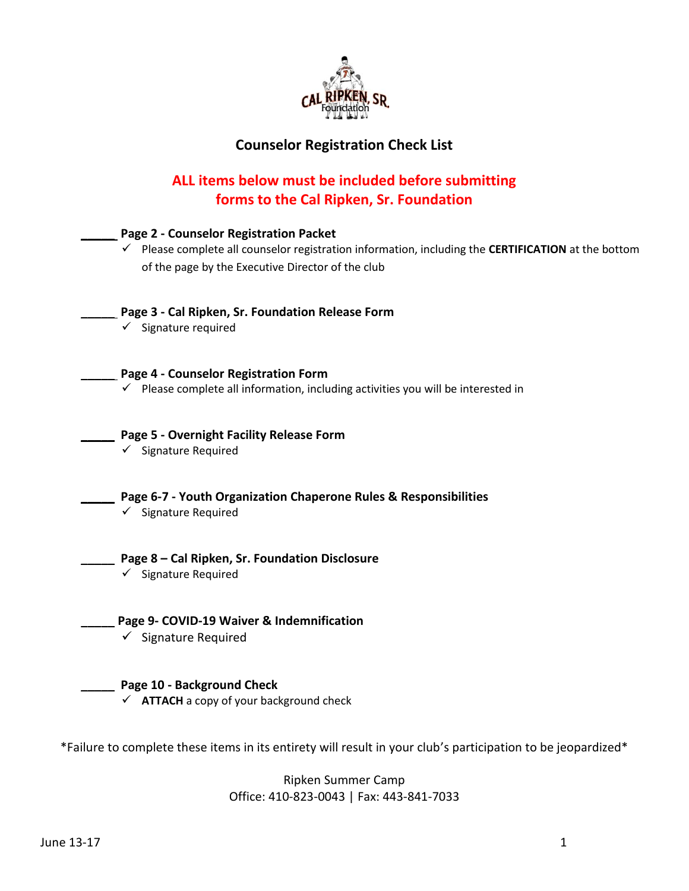

## **Counselor Registration Check List**

## **ALL items below must be included before submitting forms to the Cal Ripken, Sr. Foundation**

| Page 2 - Counselor Registration Packet<br>$\checkmark$ Please complete all counselor registration information, including the CERTIFICATION at the bottom<br>of the page by the Executive Director of the club |
|---------------------------------------------------------------------------------------------------------------------------------------------------------------------------------------------------------------|
| Page 3 - Cal Ripken, Sr. Foundation Release Form<br>$\checkmark$ Signature required                                                                                                                           |
| Page 4 - Counselor Registration Form<br>$\checkmark$ Please complete all information, including activities you will be interested in                                                                          |
| Page 5 - Overnight Facility Release Form<br>$\checkmark$ Signature Required                                                                                                                                   |
| Page 6-7 - Youth Organization Chaperone Rules & Responsibilities<br>$\checkmark$ Signature Required                                                                                                           |
| Page 8 - Cal Ripken, Sr. Foundation Disclosure<br>$\checkmark$ Signature Required                                                                                                                             |
| Page 9- COVID-19 Waiver & Indemnification<br>$\checkmark$ Signature Required                                                                                                                                  |
| Page 10 - Background Check<br>$\checkmark$ ATTACH a copy of your background check                                                                                                                             |
|                                                                                                                                                                                                               |

\*Failure to complete these items in its entirety will result in your club's participation to be jeopardized\*

Ripken Summer Camp Office: 410-823-0043 | Fax: 443-841-7033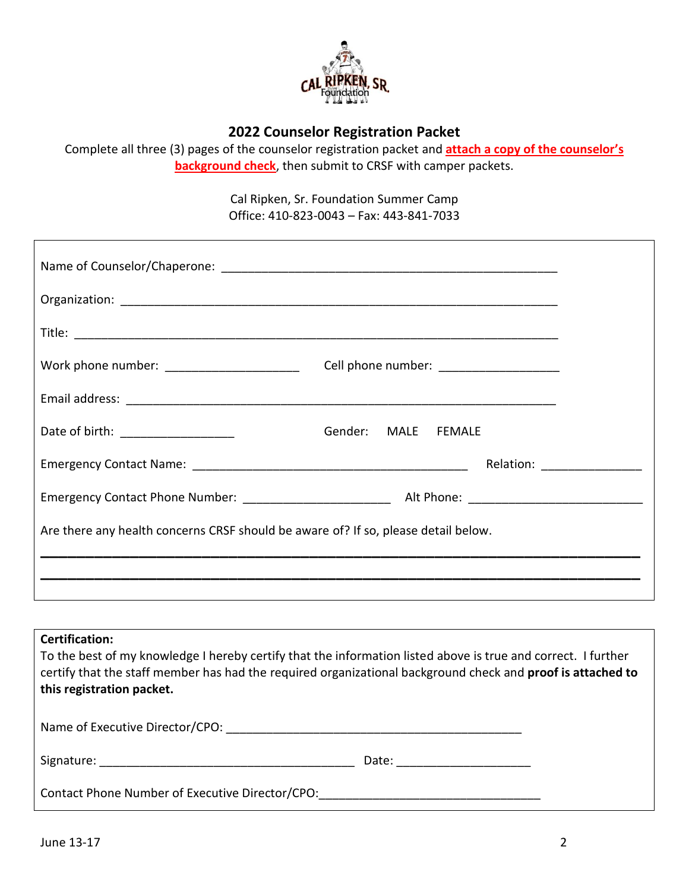

### **2022 Counselor Registration Packet**

Complete all three (3) pages of the counselor registration packet and **attach a copy of the counselor's background check**, then submit to CRSF with camper packets.

> Cal Ripken, Sr. Foundation Summer Camp Office: 410-823-0043 – Fax: 443-841-7033

| Work phone number: _______________________                                         | Cell phone number: ____________________ |                                                                                                                                                                                                                               |
|------------------------------------------------------------------------------------|-----------------------------------------|-------------------------------------------------------------------------------------------------------------------------------------------------------------------------------------------------------------------------------|
|                                                                                    |                                         |                                                                                                                                                                                                                               |
| Date of birth: ___________________                                                 | Gender: MALE FEMALE                     |                                                                                                                                                                                                                               |
|                                                                                    |                                         | Relation: The contract of the contract of the contract of the contract of the contract of the contract of the contract of the contract of the contract of the contract of the contract of the contract of the contract of the |
|                                                                                    |                                         |                                                                                                                                                                                                                               |
| Are there any health concerns CRSF should be aware of? If so, please detail below. |                                         |                                                                                                                                                                                                                               |
|                                                                                    |                                         |                                                                                                                                                                                                                               |
|                                                                                    |                                         |                                                                                                                                                                                                                               |

# **Certification:** To the best of my knowledge I hereby certify that the information listed above is true and correct. I further certify that the staff member has had the required organizational background check and **proof is attached to this registration packet.** Name of Executive Director/CPO: \_\_\_\_\_\_\_\_\_\_\_\_\_\_\_\_\_\_\_\_\_\_\_\_\_\_\_\_\_\_\_\_\_\_\_\_\_\_\_\_\_\_\_\_ Signature: \_\_\_\_\_\_\_\_\_\_\_\_\_\_\_\_\_\_\_\_\_\_\_\_\_\_\_\_\_\_\_\_\_\_\_\_\_\_ Date: \_\_\_\_\_\_\_\_\_\_\_\_\_\_\_\_\_\_\_\_ Contact Phone Number of Executive Director/CPO: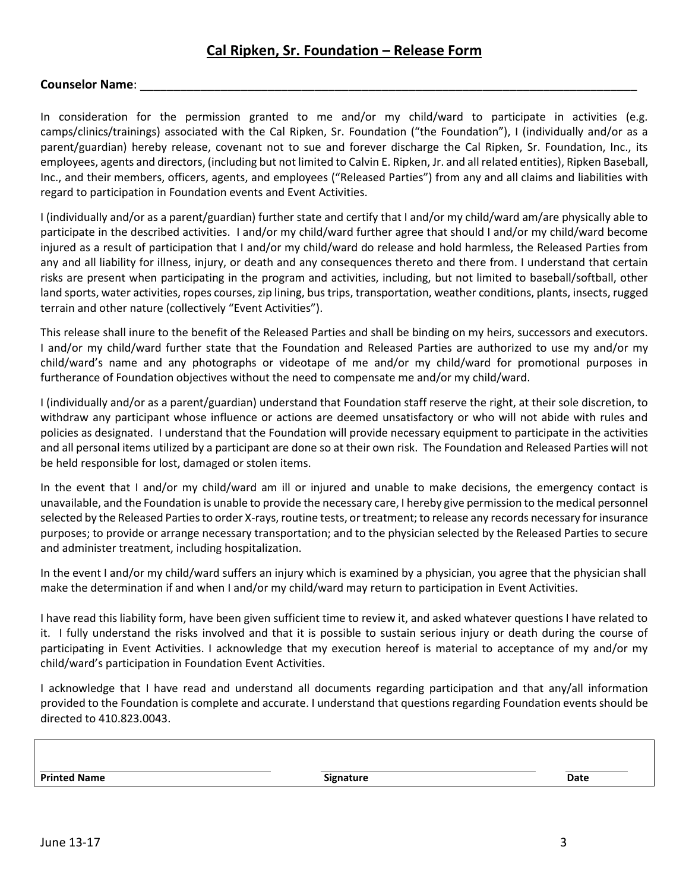#### **Counselor Name**: \_\_\_\_\_\_\_\_\_\_\_\_\_\_\_\_\_\_\_\_\_\_\_\_\_\_\_\_\_\_\_\_\_\_\_\_\_\_\_\_\_\_\_\_\_\_\_\_\_\_\_\_\_\_\_\_\_\_\_\_\_\_\_\_\_\_\_\_\_\_\_\_\_\_

In consideration for the permission granted to me and/or my child/ward to participate in activities (e.g. camps/clinics/trainings) associated with the Cal Ripken, Sr. Foundation ("the Foundation"), I (individually and/or as a parent/guardian) hereby release, covenant not to sue and forever discharge the Cal Ripken, Sr. Foundation, Inc., its employees, agents and directors, (including but not limited to Calvin E. Ripken, Jr. and all related entities), Ripken Baseball, Inc., and their members, officers, agents, and employees ("Released Parties") from any and all claims and liabilities with regard to participation in Foundation events and Event Activities.

I (individually and/or as a parent/guardian) further state and certify that I and/or my child/ward am/are physically able to participate in the described activities. I and/or my child/ward further agree that should I and/or my child/ward become injured as a result of participation that I and/or my child/ward do release and hold harmless, the Released Parties from any and all liability for illness, injury, or death and any consequences thereto and there from. I understand that certain risks are present when participating in the program and activities, including, but not limited to baseball/softball, other land sports, water activities, ropes courses, zip lining, bus trips, transportation, weather conditions, plants, insects, rugged terrain and other nature (collectively "Event Activities").

This release shall inure to the benefit of the Released Parties and shall be binding on my heirs, successors and executors. I and/or my child/ward further state that the Foundation and Released Parties are authorized to use my and/or my child/ward's name and any photographs or videotape of me and/or my child/ward for promotional purposes in furtherance of Foundation objectives without the need to compensate me and/or my child/ward.

I (individually and/or as a parent/guardian) understand that Foundation staff reserve the right, at their sole discretion, to withdraw any participant whose influence or actions are deemed unsatisfactory or who will not abide with rules and policies as designated. I understand that the Foundation will provide necessary equipment to participate in the activities and all personal items utilized by a participant are done so at their own risk. The Foundation and Released Parties will not be held responsible for lost, damaged or stolen items.

In the event that I and/or my child/ward am ill or injured and unable to make decisions, the emergency contact is unavailable, and the Foundation is unable to provide the necessary care, I hereby give permission to the medical personnel selected by the Released Parties to order X-rays, routine tests, or treatment; to release any records necessary for insurance purposes; to provide or arrange necessary transportation; and to the physician selected by the Released Parties to secure and administer treatment, including hospitalization.

In the event I and/or my child/ward suffers an injury which is examined by a physician, you agree that the physician shall make the determination if and when I and/or my child/ward may return to participation in Event Activities.

I have read this liability form, have been given sufficient time to review it, and asked whatever questions I have related to it. I fully understand the risks involved and that it is possible to sustain serious injury or death during the course of participating in Event Activities. I acknowledge that my execution hereof is material to acceptance of my and/or my child/ward's participation in Foundation Event Activities.

I acknowledge that I have read and understand all documents regarding participation and that any/all information provided to the Foundation is complete and accurate. I understand that questions regarding Foundation events should be directed to 410.823.0043.

**Printed Name Signature Date**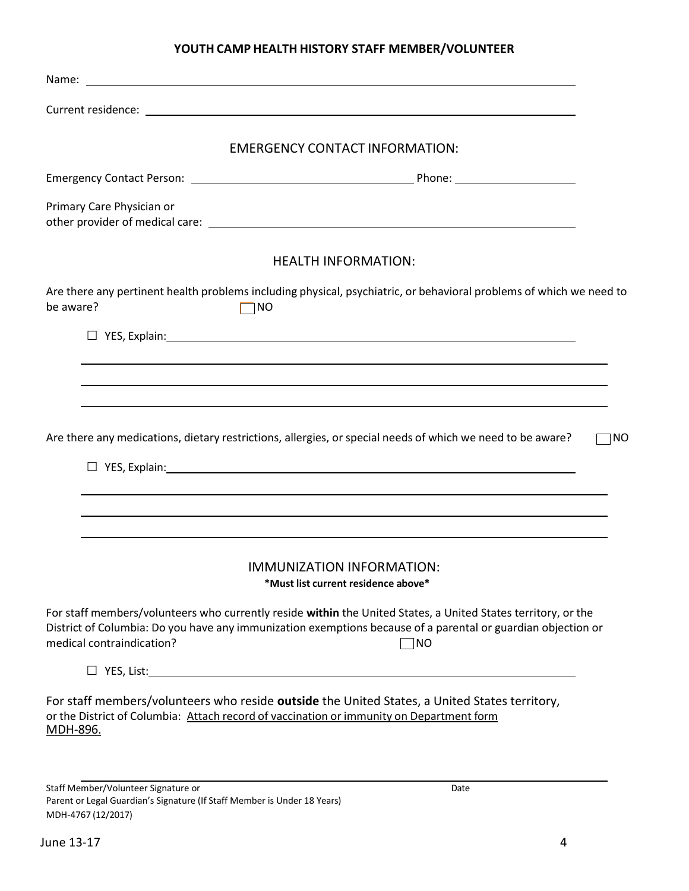#### **YOUTH CAMP HEALTH HISTORY STAFF MEMBER/VOLUNTEER**

| <b>EMERGENCY CONTACT INFORMATION:</b>                                                                                                                                                                                                                             |
|-------------------------------------------------------------------------------------------------------------------------------------------------------------------------------------------------------------------------------------------------------------------|
|                                                                                                                                                                                                                                                                   |
| Primary Care Physician or                                                                                                                                                                                                                                         |
| <b>HEALTH INFORMATION:</b>                                                                                                                                                                                                                                        |
| Are there any pertinent health problems including physical, psychiatric, or behavioral problems of which we need to<br>be aware?<br>$\neg$ NO                                                                                                                     |
|                                                                                                                                                                                                                                                                   |
|                                                                                                                                                                                                                                                                   |
|                                                                                                                                                                                                                                                                   |
| Are there any medications, dietary restrictions, allergies, or special needs of which we need to be aware?<br>⊺NO                                                                                                                                                 |
| IMMUNIZATION INFORMATION:<br>*Must list current residence above*                                                                                                                                                                                                  |
| For staff members/volunteers who currently reside within the United States, a United States territory, or the<br>District of Columbia: Do you have any immunization exemptions because of a parental or guardian objection or<br>medical contraindication?<br>⊺NO |
|                                                                                                                                                                                                                                                                   |
| For staff members/volunteers who reside outside the United States, a United States territory,<br>or the District of Columbia: Attach record of vaccination or immunity on Department form<br><u>MDH-896.</u>                                                      |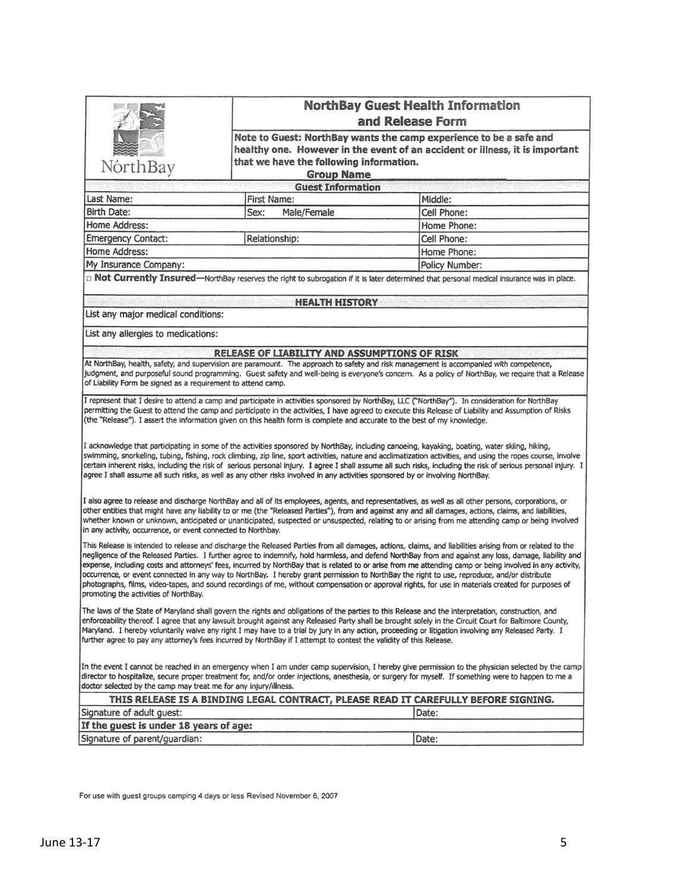|                                                                  |                                                                                                                                                                                               | <b>NorthBay Guest Health Information</b><br>and Release Form                                                                                                                                                                                                                                                                                                                                                                                                                                                                                                                                                                                                                                                                                                                       |  |  |
|------------------------------------------------------------------|-----------------------------------------------------------------------------------------------------------------------------------------------------------------------------------------------|------------------------------------------------------------------------------------------------------------------------------------------------------------------------------------------------------------------------------------------------------------------------------------------------------------------------------------------------------------------------------------------------------------------------------------------------------------------------------------------------------------------------------------------------------------------------------------------------------------------------------------------------------------------------------------------------------------------------------------------------------------------------------------|--|--|
| NórthBay                                                         | Note to Guest: NorthBay wants the camp experience to be a safe and<br>healthy one. However in the event of an accident or illness, it is important<br>that we have the following information. |                                                                                                                                                                                                                                                                                                                                                                                                                                                                                                                                                                                                                                                                                                                                                                                    |  |  |
|                                                                  | <b>Guest Information</b>                                                                                                                                                                      |                                                                                                                                                                                                                                                                                                                                                                                                                                                                                                                                                                                                                                                                                                                                                                                    |  |  |
| Last Name:                                                       | <b>First Name:</b>                                                                                                                                                                            | Middle:                                                                                                                                                                                                                                                                                                                                                                                                                                                                                                                                                                                                                                                                                                                                                                            |  |  |
| <b>Birth Date:</b>                                               | Male/Female<br>Sex:                                                                                                                                                                           | Cell Phone:                                                                                                                                                                                                                                                                                                                                                                                                                                                                                                                                                                                                                                                                                                                                                                        |  |  |
| Home Address:                                                    |                                                                                                                                                                                               | Home Phone:                                                                                                                                                                                                                                                                                                                                                                                                                                                                                                                                                                                                                                                                                                                                                                        |  |  |
| <b>Emergency Contact:</b>                                        | Relationship:                                                                                                                                                                                 | Cell Phone:                                                                                                                                                                                                                                                                                                                                                                                                                                                                                                                                                                                                                                                                                                                                                                        |  |  |
| Home Address:                                                    |                                                                                                                                                                                               | Home Phone:                                                                                                                                                                                                                                                                                                                                                                                                                                                                                                                                                                                                                                                                                                                                                                        |  |  |
| My Insurance Company:                                            |                                                                                                                                                                                               | <b>Policy Number:</b>                                                                                                                                                                                                                                                                                                                                                                                                                                                                                                                                                                                                                                                                                                                                                              |  |  |
|                                                                  |                                                                                                                                                                                               | D Not Currently Insured-NorthBay reserves the right to subrogation if it is later determined that personal medical insurance was in place.                                                                                                                                                                                                                                                                                                                                                                                                                                                                                                                                                                                                                                         |  |  |
|                                                                  | <b>HEALTH HISTORY</b>                                                                                                                                                                         |                                                                                                                                                                                                                                                                                                                                                                                                                                                                                                                                                                                                                                                                                                                                                                                    |  |  |
| List any major medical conditions:                               |                                                                                                                                                                                               |                                                                                                                                                                                                                                                                                                                                                                                                                                                                                                                                                                                                                                                                                                                                                                                    |  |  |
| List any allergies to medications:                               |                                                                                                                                                                                               |                                                                                                                                                                                                                                                                                                                                                                                                                                                                                                                                                                                                                                                                                                                                                                                    |  |  |
|                                                                  | <b>RELEASE OF LIABILITY AND ASSUMPTIONS OF RISK</b>                                                                                                                                           |                                                                                                                                                                                                                                                                                                                                                                                                                                                                                                                                                                                                                                                                                                                                                                                    |  |  |
| of Liability Form be signed as a requirement to attend camp.     |                                                                                                                                                                                               | At NorthBay, health, safety, and supervision are paramount. The approach to safety and risk management is accompanied with competence,<br>judgment, and purposeful sound programming. Guest safety and well-being is everyone's concern. As a policy of NorthBay, we require that a Release                                                                                                                                                                                                                                                                                                                                                                                                                                                                                        |  |  |
|                                                                  | (the "Release"). I assert the information given on this health form is complete and accurate to the best of my knowledge.                                                                     | I represent that I desire to attend a camp and participate in activities sponsored by NorthBay, LLC ("NorthBay"). In consideration for NorthBay<br>permitting the Guest to attend the camp and participate in the activities, I have agreed to execute this Release of Liability and Assumption of Risks                                                                                                                                                                                                                                                                                                                                                                                                                                                                           |  |  |
|                                                                  | agree I shall assume all such risks, as well as any other risks involved in any activities sponsored by or involving NorthBay.                                                                | I acknowledge that participating in some of the activities sponsored by NorthBay, including canoeing, kayaking, boating, water skiing, hiking,<br>swimming, snorkeling, tubing, fishing, rock climbing, zip line, sport activities, nature and acclimatization activities, and using the ropes course, involve<br>certain inherent risks, including the risk of serious personal injury. I agree I shall assume all such risks, including the risk of serious personal injury. I                                                                                                                                                                                                                                                                                                   |  |  |
| in any activity, occurrence, or event connected to Northbay.     |                                                                                                                                                                                               | I also agree to release and discharge NorthBay and all of its employees, agents, and representatives, as well as all other persons, corporations, or<br>other entities that might have any liability to or me (the "Released Parties"), from and against any and all damages, actions, claims, and liabilities,<br>whether known or unknown, anticipated or unanticipated, suspected or unsuspected, relating to or arising from me attending camp or being involved                                                                                                                                                                                                                                                                                                               |  |  |
|                                                                  |                                                                                                                                                                                               |                                                                                                                                                                                                                                                                                                                                                                                                                                                                                                                                                                                                                                                                                                                                                                                    |  |  |
| promoting the activities of NorthBay.                            |                                                                                                                                                                                               | This Release is intended to release and discharge the Released Parties from all damages, actions, claims, and liabilities arising from or related to the<br>negligence of the Released Parties. I further agree to indemnify, hold harmless, and defend NorthBay from and against any loss, damage, liability and<br>expense, including costs and attorneys' fees, incurred by NorthBay that is related to or arise from me attending camp or being involved in any activity,<br>occurrence, or event connected in any way to NorthBay. I hereby grant permission to NorthBay the right to use, reproduce, and/or distribute<br>photographs, films, video-tapes, and sound recordings of me, without compensation or approval rights, for use in materials created for purposes of |  |  |
|                                                                  | further agree to pay any attorney's fees incurred by NorthBay if I attempt to contest the validity of this Release.                                                                           | The laws of the State of Maryland shall govern the rights and obligations of the parties to this Release and the interpretation, construction, and<br>enforceability thereof. I agree that any lawsuit brought against any Released Party shall be brought solely in the Circuit Court for Baltimore County,<br>Maryland. I hereby voluntarily waive any right I may have to a trial by jury in any action, proceeding or litigation involving any Released Party. I                                                                                                                                                                                                                                                                                                               |  |  |
| doctor selected by the camp may treat me for any injury/illness. |                                                                                                                                                                                               | In the event I cannot be reached in an emergency when I am under camp supervision, I hereby give permission to the physician selected by the camp<br>director to hospitalize, secure proper treatment for, and/or order injections, anesthesia, or surgery for myself. If something were to happen to me a                                                                                                                                                                                                                                                                                                                                                                                                                                                                         |  |  |
|                                                                  |                                                                                                                                                                                               | THIS RELEASE IS A BINDING LEGAL CONTRACT, PLEASE READ IT CAREFULLY BEFORE SIGNING.                                                                                                                                                                                                                                                                                                                                                                                                                                                                                                                                                                                                                                                                                                 |  |  |
| Signature of adult guest:                                        |                                                                                                                                                                                               | Date:                                                                                                                                                                                                                                                                                                                                                                                                                                                                                                                                                                                                                                                                                                                                                                              |  |  |
| If the guest is under 18 years of age:                           |                                                                                                                                                                                               |                                                                                                                                                                                                                                                                                                                                                                                                                                                                                                                                                                                                                                                                                                                                                                                    |  |  |

For use with guest groups camping 4 days or less Revised November 6, 2007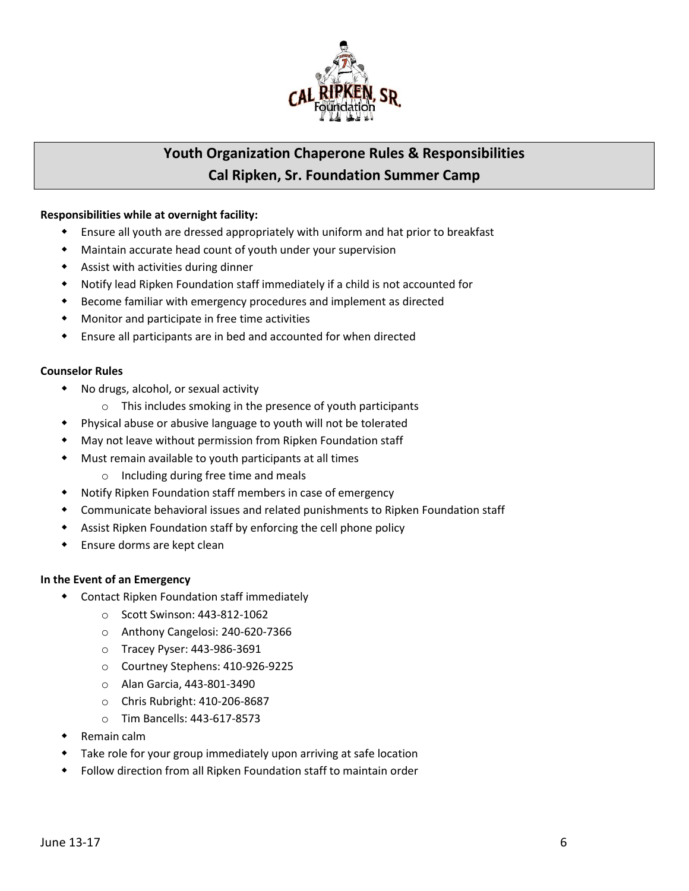

## **Youth Organization Chaperone Rules & Responsibilities Cal Ripken, Sr. Foundation Summer Camp**

#### **Responsibilities while at overnight facility:**

- Ensure all youth are dressed appropriately with uniform and hat prior to breakfast
- Maintain accurate head count of youth under your supervision
- Assist with activities during dinner
- Notify lead Ripken Foundation staff immediately if a child is not accounted for
- Become familiar with emergency procedures and implement as directed
- Monitor and participate in free time activities
- Ensure all participants are in bed and accounted for when directed

#### **Counselor Rules**

- No drugs, alcohol, or sexual activity
	- o This includes smoking in the presence of youth participants
- Physical abuse or abusive language to youth will not be tolerated
- May not leave without permission from Ripken Foundation staff
- Must remain available to youth participants at all times
	- o Including during free time and meals
- Notify Ripken Foundation staff members in case of emergency
- Communicate behavioral issues and related punishments to Ripken Foundation staff
- Assist Ripken Foundation staff by enforcing the cell phone policy
- Ensure dorms are kept clean

#### **In the Event of an Emergency**

- Contact Ripken Foundation staff immediately
	- o Scott Swinson: 443-812-1062
	- o Anthony Cangelosi: 240-620-7366
	- o Tracey Pyser: 443-986-3691
	- o Courtney Stephens: 410-926-9225
	- o Alan Garcia, 443-801-3490
	- o Chris Rubright: 410-206-8687
	- o Tim Bancells: 443-617-8573
- Remain calm
- Take role for your group immediately upon arriving at safe location
- Follow direction from all Ripken Foundation staff to maintain order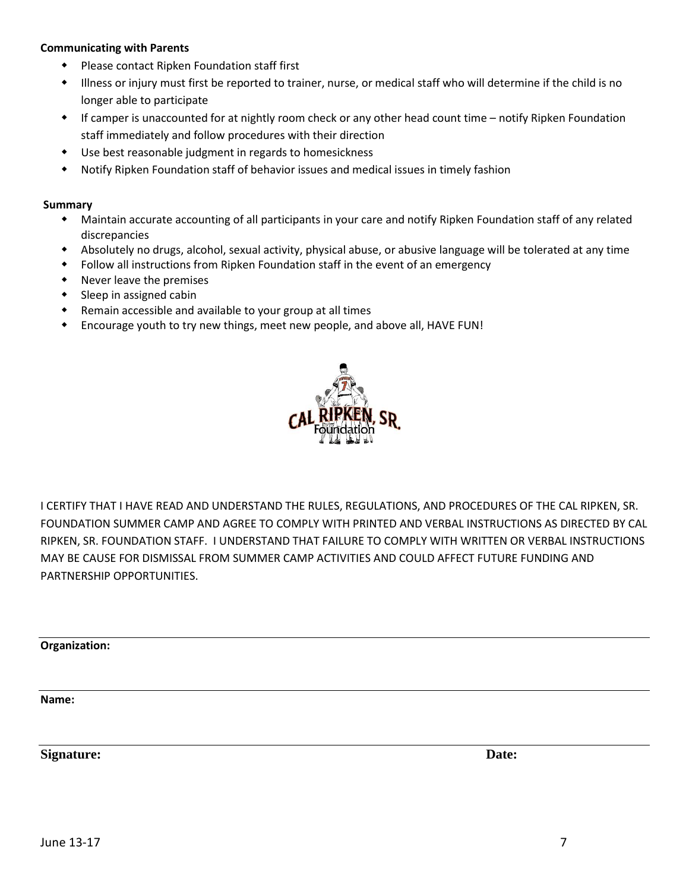#### **Communicating with Parents**

- Please contact Ripken Foundation staff first
- Illness or injury must first be reported to trainer, nurse, or medical staff who will determine if the child is no longer able to participate
- If camper is unaccounted for at nightly room check or any other head count time notify Ripken Foundation staff immediately and follow procedures with their direction
- Use best reasonable judgment in regards to homesickness
- Notify Ripken Foundation staff of behavior issues and medical issues in timely fashion

#### **Summary**

- Maintain accurate accounting of all participants in your care and notify Ripken Foundation staff of any related discrepancies
- Absolutely no drugs, alcohol, sexual activity, physical abuse, or abusive language will be tolerated at any time
- Follow all instructions from Ripken Foundation staff in the event of an emergency
- Never leave the premises
- $\bullet$  Sleep in assigned cabin
- Remain accessible and available to your group at all times
- Encourage youth to try new things, meet new people, and above all, HAVE FUN!



I CERTIFY THAT I HAVE READ AND UNDERSTAND THE RULES, REGULATIONS, AND PROCEDURES OF THE CAL RIPKEN, SR. FOUNDATION SUMMER CAMP AND AGREE TO COMPLY WITH PRINTED AND VERBAL INSTRUCTIONS AS DIRECTED BY CAL RIPKEN, SR. FOUNDATION STAFF. I UNDERSTAND THAT FAILURE TO COMPLY WITH WRITTEN OR VERBAL INSTRUCTIONS MAY BE CAUSE FOR DISMISSAL FROM SUMMER CAMP ACTIVITIES AND COULD AFFECT FUTURE FUNDING AND PARTNERSHIP OPPORTUNITIES.

**Organization:** 

**Name:** 

**Signature:** Date: **Date: Date: Date: Date: Date: Date: Date: Date: Date: Date: Date: Date: Date: Date: Date: Date: Date: Date: Date: Date: Date: Date: Date: Date: Date: Da**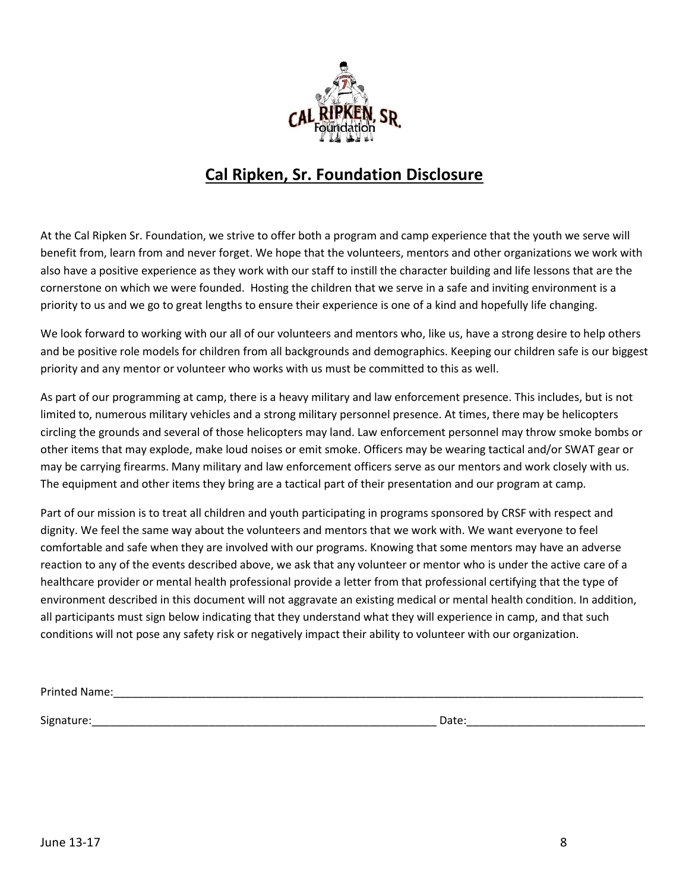

# **Cal Ripken, Sr. Foundation Disclosure**

At the Cal Ripken Sr. Foundation, we strive to offer both a program and camp experience that the youth we serve will benefit from, learn from and never forget. We hope that the volunteers, mentors and other organizations we work with also have a positive experience as they work with our staff to instill the character building and life lessons that are the cornerstone on which we were founded. Hosting the children that we serve in a safe and inviting environment is a priority to us and we go to great lengths to ensure their experience is one of a kind and hopefully life changing.

We look forward to working with our all of our volunteers and mentors who, like us, have a strong desire to help others and be positive role models for children from all backgrounds and demographics. Keeping our children safe is our biggest priority and any mentor or volunteer who works with us must be committed to this as well.

As part of our programming at camp, there is a heavy military and law enforcement presence. This includes, but is not limited to, numerous military vehicles and a strong military personnel presence. At times, there may be helicopters circling the grounds and several of those helicopters may land. Law enforcement personnel may throw smoke bombs or other items that may explode, make loud noises or emit smoke. Officers may be wearing tactical and/or SWAT gear or may be carrying firearms. Many military and law enforcement officers serve as our mentors and work closely with us. The equipment and other items they bring are a tactical part of their presentation and our program at camp.

Part of our mission is to treat all children and youth participating in programs sponsored by CRSF with respect and dignity. We feel the same way about the volunteers and mentors that we work with. We want everyone to feel comfortable and safe when they are involved with our programs. Knowing that some mentors may have an adverse reaction to any of the events described above, we ask that any volunteer or mentor who is under the active care of a healthcare provider or mental health professional provide a letter from that professional certifying that the type of environment described in this document will not aggravate an existing medical or mental health condition. In addition, all participants must sign below indicating that they understand what they will experience in camp, and that such conditions will not pose any safety risk or negatively impact their ability to volunteer with our organization.

Printed Name:\_\_\_\_\_\_\_\_\_\_\_\_\_\_\_\_\_\_\_\_\_\_\_\_\_\_\_\_\_\_\_\_\_\_\_\_\_\_\_\_\_\_\_\_\_\_\_\_\_\_\_\_\_\_\_\_\_\_\_\_\_\_\_\_\_\_\_\_\_\_\_\_\_\_\_\_\_\_\_\_\_\_\_\_\_\_

Signature:\_\_\_\_\_\_\_\_\_\_\_\_\_\_\_\_\_\_\_\_\_\_\_\_\_\_\_\_\_\_\_\_\_\_\_\_\_\_\_\_\_\_\_\_\_\_\_\_\_\_\_\_\_\_\_\_ Date:\_\_\_\_\_\_\_\_\_\_\_\_\_\_\_\_\_\_\_\_\_\_\_\_\_\_\_\_\_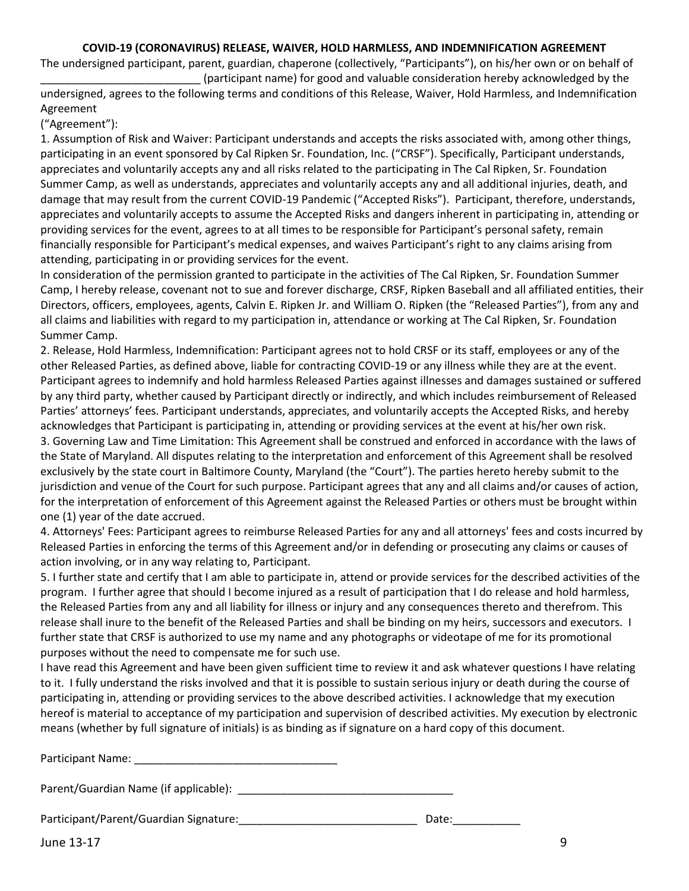#### **COVID-19 (CORONAVIRUS) RELEASE, WAIVER, HOLD HARMLESS, AND INDEMNIFICATION AGREEMENT**

The undersigned participant, parent, guardian, chaperone (collectively, "Participants"), on his/her own or on behalf of \_\_\_\_\_\_\_\_\_\_\_\_\_\_\_\_\_\_\_\_\_\_\_\_\_\_ (participant name) for good and valuable consideration hereby acknowledged by the

undersigned, agrees to the following terms and conditions of this Release, Waiver, Hold Harmless, and Indemnification Agreement

("Agreement"):

1. Assumption of Risk and Waiver: Participant understands and accepts the risks associated with, among other things, participating in an event sponsored by Cal Ripken Sr. Foundation, Inc. ("CRSF"). Specifically, Participant understands, appreciates and voluntarily accepts any and all risks related to the participating in The Cal Ripken, Sr. Foundation Summer Camp, as well as understands, appreciates and voluntarily accepts any and all additional injuries, death, and damage that may result from the current COVID-19 Pandemic ("Accepted Risks"). Participant, therefore, understands, appreciates and voluntarily accepts to assume the Accepted Risks and dangers inherent in participating in, attending or providing services for the event, agrees to at all times to be responsible for Participant's personal safety, remain financially responsible for Participant's medical expenses, and waives Participant's right to any claims arising from attending, participating in or providing services for the event.

In consideration of the permission granted to participate in the activities of The Cal Ripken, Sr. Foundation Summer Camp, I hereby release, covenant not to sue and forever discharge, CRSF, Ripken Baseball and all affiliated entities, their Directors, officers, employees, agents, Calvin E. Ripken Jr. and William O. Ripken (the "Released Parties"), from any and all claims and liabilities with regard to my participation in, attendance or working at The Cal Ripken, Sr. Foundation Summer Camp.

2. Release, Hold Harmless, Indemnification: Participant agrees not to hold CRSF or its staff, employees or any of the other Released Parties, as defined above, liable for contracting COVID-19 or any illness while they are at the event. Participant agrees to indemnify and hold harmless Released Parties against illnesses and damages sustained or suffered by any third party, whether caused by Participant directly or indirectly, and which includes reimbursement of Released Parties' attorneys' fees. Participant understands, appreciates, and voluntarily accepts the Accepted Risks, and hereby acknowledges that Participant is participating in, attending or providing services at the event at his/her own risk. 3. Governing Law and Time Limitation: This Agreement shall be construed and enforced in accordance with the laws of the State of Maryland. All disputes relating to the interpretation and enforcement of this Agreement shall be resolved exclusively by the state court in Baltimore County, Maryland (the "Court"). The parties hereto hereby submit to the jurisdiction and venue of the Court for such purpose. Participant agrees that any and all claims and/or causes of action, for the interpretation of enforcement of this Agreement against the Released Parties or others must be brought within one (1) year of the date accrued.

4. Attorneys' Fees: Participant agrees to reimburse Released Parties for any and all attorneys' fees and costs incurred by Released Parties in enforcing the terms of this Agreement and/or in defending or prosecuting any claims or causes of action involving, or in any way relating to, Participant.

5. I further state and certify that I am able to participate in, attend or provide services for the described activities of the program. I further agree that should I become injured as a result of participation that I do release and hold harmless, the Released Parties from any and all liability for illness or injury and any consequences thereto and therefrom. This release shall inure to the benefit of the Released Parties and shall be binding on my heirs, successors and executors. I further state that CRSF is authorized to use my name and any photographs or videotape of me for its promotional purposes without the need to compensate me for such use.

I have read this Agreement and have been given sufficient time to review it and ask whatever questions I have relating to it. I fully understand the risks involved and that it is possible to sustain serious injury or death during the course of participating in, attending or providing services to the above described activities. I acknowledge that my execution hereof is material to acceptance of my participation and supervision of described activities. My execution by electronic means (whether by full signature of initials) is as binding as if signature on a hard copy of this document.

Participant Name: \_\_\_\_\_\_\_\_\_\_\_\_\_\_\_\_\_\_\_\_\_\_\_\_\_\_\_\_\_\_\_\_\_

Parent/Guardian Name (if applicable): \_\_\_\_\_\_\_\_\_\_\_\_\_\_\_\_\_\_\_\_\_\_\_\_\_\_\_\_\_\_\_\_\_\_\_

Participant/Parent/Guardian Signature: \_\_\_\_\_\_\_\_\_\_\_\_\_\_\_\_\_\_\_\_\_\_\_\_\_\_\_\_\_\_\_\_\_\_\_Date:

June 13-17 9